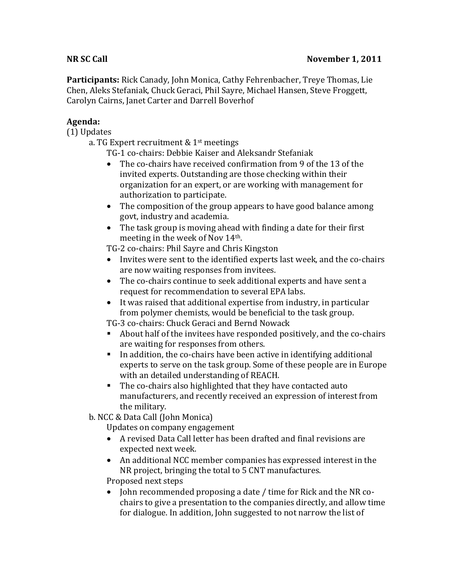Participants: Rick Canady, John Monica, Cathy Fehrenbacher, Treye Thomas, Lie Chen,%Aleks%Stefaniak,%Chuck%Geraci,%Phil%Sayre,%Michael%Hansen,%Steve%Froggett,% Carolyn Cairns, Janet Carter and Darrell Boverhof

## **Agenda:**

(1) Updates

a. TG Expert recruitment &  $1<sup>st</sup>$  meetings

TG-1 co-chairs: Debbie Kaiser and Aleksandr Stefaniak

- The co-chairs have received confirmation from 9 of the 13 of the invited experts. Outstanding are those checking within their organization for an expert, or are working with management for authorization to participate.
- The composition of the group appears to have good balance among govt, industry and academia.
- The task group is moving ahead with finding a date for their first meeting in the week of Nov  $14<sup>th</sup>$ .

TG-2 co-chairs: Phil Sayre and Chris Kingston

- Invites were sent to the identified experts last week, and the co-chairs are now waiting responses from invitees.
- The co-chairs continue to seek additional experts and have sent a request for recommendation to several EPA labs.
- It was raised that additional expertise from industry, in particular from polymer chemists, would be beneficial to the task group.

TG-3 co-chairs: Chuck Geraci and Bernd Nowack

- About half of the invitees have responded positively, and the co-chairs are waiting for responses from others.
- In addition, the co-chairs have been active in identifying additional experts to serve on the task group. Some of these people are in Europe with an detailed understanding of REACH.
- $\blacksquare$  The co-chairs also highlighted that they have contacted auto manufacturers, and recently received an expression of interest from the military.

b. NCC & Data Call (John Monica)

Updates on company engagement

- A revised Data Call letter has been drafted and final revisions are expected next week.
- An additional NCC member companies has expressed interest in the  $\blacksquare$ NR project, bringing the total to 5 CNT manufactures.

Proposed next steps

• John recommended proposing a date / time for Rick and the NR cochairs to give a presentation to the companies directly, and allow time for dialogue. In addition, John suggested to not narrow the list of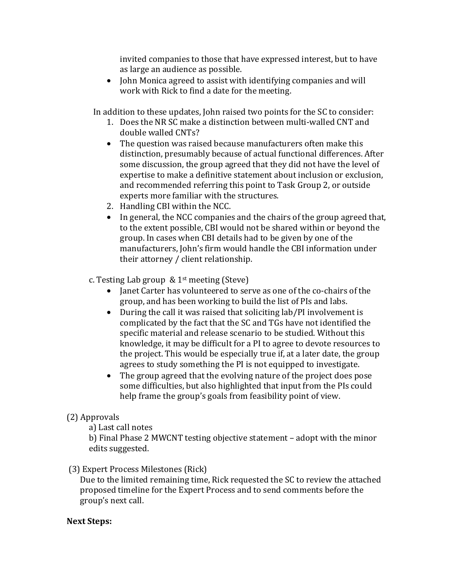invited companies to those that have expressed interest, but to have as large an audience as possible.

• John Monica agreed to assist with identifying companies and will work with Rick to find a date for the meeting.

In addition to these updates, John raised two points for the SC to consider:

- 1. Does the NR SC make a distinction between multi-walled CNT and double walled CNTs?
- The question was raised because manufacturers often make this distinction, presumably because of actual functional differences. After some discussion, the group agreed that they did not have the level of expertise to make a definitive statement about inclusion or exclusion, and recommended referring this point to Task Group 2, or outside experts more familiar with the structures.
- 2. Handling CBI within the NCC.
- In general, the NCC companies and the chairs of the group agreed that, to the extent possible, CBI would not be shared within or beyond the group. In cases when CBI details had to be given by one of the manufacturers, John's firm would handle the CBI information under their attorney / client relationship.

c. Testing Lab group  $\&$  1st meeting (Steve)

- Janet Carter has volunteered to serve as one of the co-chairs of the group, and has been working to build the list of PIs and labs.
- During the call it was raised that soliciting lab/PI involvement is complicated by the fact that the SC and TGs have not identified the specific material and release scenario to be studied. Without this knowledge, it may be difficult for a PI to agree to devote resources to the project. This would be especially true if, at a later date, the group agrees to study something the PI is not equipped to investigate.
- The group agreed that the evolving nature of the project does pose some difficulties, but also highlighted that input from the PIs could help frame the group's goals from feasibility point of view.

## (2) Approvals

a) Last call notes

b) Final Phase 2 MWCNT testing objective statement – adopt with the minor edits suggested.

(3) Expert Process Milestones (Rick)

Due to the limited remaining time, Rick requested the SC to review the attached proposed timeline for the Expert Process and to send comments before the group's next call.

## **Next Steps:**